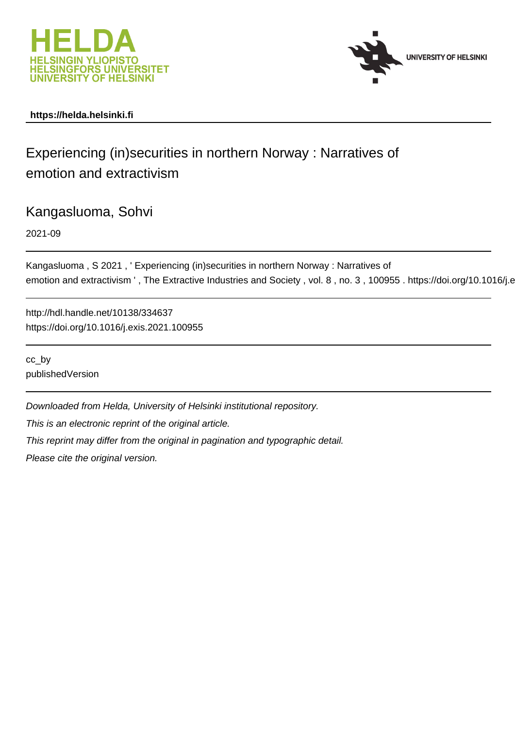



### **https://helda.helsinki.fi**

# Experiencing (in)securities in northern Norway : Narratives of emotion and extractivism

## Kangasluoma, Sohvi

2021-09

Kangasluoma , S 2021 , ' Experiencing (in)securities in northern Norway : Narratives of emotion and extractivism ', The Extractive Industries and Society, vol. 8, no. 3, 100955. https://doi.org/10.1016/j.e

http://hdl.handle.net/10138/334637 https://doi.org/10.1016/j.exis.2021.100955

cc\_by publishedVersion

Downloaded from Helda, University of Helsinki institutional repository. This is an electronic reprint of the original article. This reprint may differ from the original in pagination and typographic detail. Please cite the original version.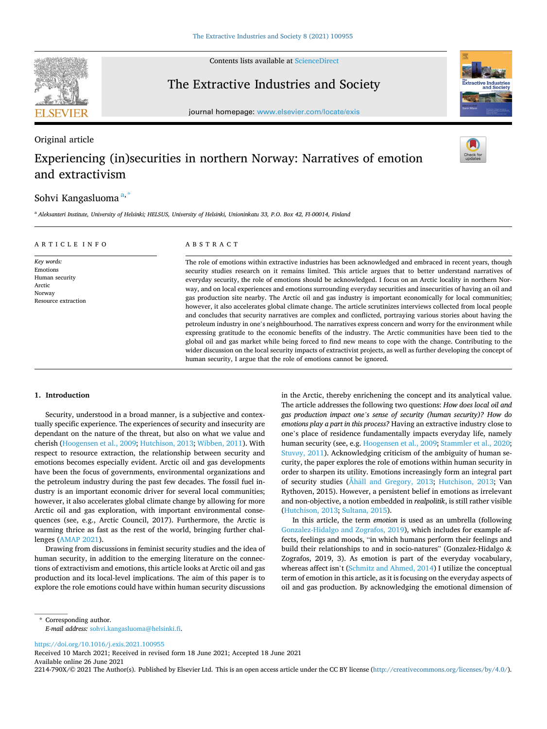

Original article

Contents lists available at [ScienceDirect](www.sciencedirect.com/science/journal/2214790X)

## The Extractive Industries and Society



journal homepage: [www.elsevier.com/locate/exis](https://www.elsevier.com/locate/exis) 

## Experiencing (in)securities in northern Norway: Narratives of emotion and extractivism

### Sohvi Kangasluoma<sup>a,\*</sup>

<sup>a</sup> *Aleksanteri Institute, University of Helsinki; HELSUS, University of Helsinki, Unioninkatu 33, P.O. Box 42, FI-00014, Finland* 

#### ARTICLE INFO

*Key words:*  Emotions Human security Arctic Norway Resource extraction

#### ABSTRACT

The role of emotions within extractive industries has been acknowledged and embraced in recent years, though security studies research on it remains limited. This article argues that to better understand narratives of everyday security, the role of emotions should be acknowledged. I focus on an Arctic locality in northern Norway, and on local experiences and emotions surrounding everyday securities and insecurities of having an oil and gas production site nearby. The Arctic oil and gas industry is important economically for local communities; however, it also accelerates global climate change. The article scrutinizes interviews collected from local people and concludes that security narratives are complex and conflicted, portraying various stories about having the petroleum industry in one's neighbourhood. The narratives express concern and worry for the environment while expressing gratitude to the economic benefits of the industry. The Arctic communities have been tied to the global oil and gas market while being forced to find new means to cope with the change. Contributing to the wider discussion on the local security impacts of extractivist projects, as well as further developing the concept of human security, I argue that the role of emotions cannot be ignored.

#### **1. Introduction**

Security, understood in a broad manner, is a subjective and contextually specific experience. The experiences of security and insecurity are dependant on the nature of the threat, but also on what we value and cherish (Hoogensen et al., 2009; Hutchison, 2013; Wibben, 2011). With respect to resource extraction, the relationship between security and emotions becomes especially evident. Arctic oil and gas developments have been the focus of governments, environmental organizations and the petroleum industry during the past few decades. The fossil fuel industry is an important economic driver for several local communities; however, it also accelerates global climate change by allowing for more Arctic oil and gas exploration, with important environmental consequences (see, e.g., Arctic Council, 2017). Furthermore, the Arctic is warming thrice as fast as the rest of the world, bringing further challenges (AMAP 2021).

Drawing from discussions in feminist security studies and the idea of human security, in addition to the emerging literature on the connections of extractivism and emotions, this article looks at Arctic oil and gas production and its local-level implications. The aim of this paper is to explore the role emotions could have within human security discussions in the Arctic, thereby enrichening the concept and its analytical value. The article addresses the following two questions: *How does local oil and gas production impact one's sense of security (human security)? How do emotions play a part in this process?* Having an extractive industry close to one's place of residence fundamentally impacts everyday life, namely human security (see, e.g. Hoogensen et al., 2009; Stammler et al., 2020; Stuvøy, 2011). Acknowledging criticism of the ambiguity of human security, the paper explores the role of emotions within human security in order to sharpen its utility. Emotions increasingly form an integral part of security studies (Åhäll and Gregory, 2013; Hutchison, 2013; Van Rythoven, 2015). However, a persistent belief in emotions as irrelevant and non-objective, a notion embedded in *realpolitik*, is still rather visible (Hutchison, 2013; Sultana, 2015).

In this article, the term *emotion* is used as an umbrella (following Gonzalez-Hidalgo and Zografos, 2019), which includes for example affects, feelings and moods, "in which humans perform their feelings and build their relationships to and in socio-natures" (Gonzalez-Hidalgo & Zografos, 2019, 3). As emotion is part of the everyday vocabulary, whereas affect isn't (Schmitz and Ahmed, 2014) I utilize the conceptual term of emotion in this article, as it is focusing on the everyday aspects of oil and gas production. By acknowledging the emotional dimension of

<https://doi.org/10.1016/j.exis.2021.100955>

Available online 26 June 2021 Received 10 March 2021; Received in revised form 18 June 2021; Accepted 18 June 2021

2214-790X/© 2021 The Author(s). Published by Elsevier Ltd. This is an open access article under the CC BY license [\(http://creativecommons.org/licenses/by/4.0/\)](http://creativecommons.org/licenses/by/4.0/).

<sup>\*</sup> Corresponding author. *E-mail address:* [sohvi.kangasluoma@helsinki.fi.](mailto:sohvi.kangasluoma@helsinki.fi)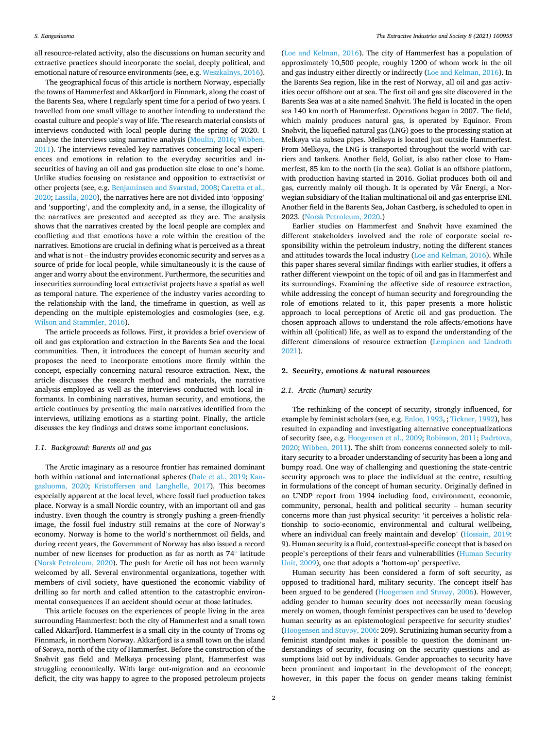all resource-related activity, also the discussions on human security and extractive practices should incorporate the social, deeply political, and emotional nature of resource environments (see, e.g. Weszkalnys, 2016).

The geographical focus of this article is northern Norway, especially the towns of Hammerfest and Akkarfjord in Finnmark, along the coast of the Barents Sea, where I regularly spent time for a period of two years. I travelled from one small village to another intending to understand the coastal culture and people's way of life. The research material consists of interviews conducted with local people during the spring of 2020. I analyse the interviews using narrative analysis (Moulin, 2016; Wibben, 2011). The interviews revealed key narratives concerning local experiences and emotions in relation to the everyday securities and insecurities of having an oil and gas production site close to one's home. Unlike studies focusing on resistance and opposition to extractivist or other projects (see, e.g. Benjaminsen and Svarstad, 2008; Caretta et al., 2020; Lassila, 2020), the narratives here are not divided into 'opposing' and 'supporting', and the complexity and, in a sense, the illogicality of the narratives are presented and accepted as they are. The analysis shows that the narratives created by the local people are complex and conflicting and that emotions have a role within the creation of the narratives. Emotions are crucial in defining what is perceived as a threat and what is not – the industry provides economic security and serves as a source of pride for local people, while simultaneously it is the cause of anger and worry about the environment. Furthermore, the securities and insecurities surrounding local extractivist projects have a spatial as well as temporal nature. The experience of the industry varies according to the relationship with the land, the timeframe in question, as well as depending on the multiple epistemologies and cosmologies (see, e.g. Wilson and Stammler, 2016).

The article proceeds as follows. First, it provides a brief overview of oil and gas exploration and extraction in the Barents Sea and the local communities. Then, it introduces the concept of human security and proposes the need to incorporate emotions more firmly within the concept, especially concerning natural resource extraction. Next, the article discusses the research method and materials, the narrative analysis employed as well as the interviews conducted with local informants. In combining narratives, human security, and emotions, the article continues by presenting the main narratives identified from the interviews, utilizing emotions as a starting point. Finally, the article discusses the key findings and draws some important conclusions.

#### *1.1. Background: Barents oil and gas*

The Arctic imaginary as a resource frontier has remained dominant both within national and international spheres (Dale et al., 2019; Kangasluoma, 2020; Kristoffersen and Langhelle, 2017). This becomes especially apparent at the local level, where fossil fuel production takes place. Norway is a small Nordic country, with an important oil and gas industry. Even though the country is strongly pushing a green-friendly image, the fossil fuel industry still remains at the core of Norway's economy. Norway is home to the world's northernmost oil fields, and during recent years, the Government of Norway has also issued a record number of new licenses for production as far as north as 74[◦](https://geohack.toolforge.org/geohack.php?pagename=Goliat_field&tnqh_x0026;params=71.30_N_22.30_E_type:landmark) latitude (Norsk Petroleum, 2020). The push for Arctic oil has not been warmly welcomed by all. Several environmental organizations, together with members of civil society, have questioned the economic viability of drilling so far north and called attention to the catastrophic environmental consequences if an accident should occur at those latitudes.

This article focuses on the experiences of people living in the area surrounding Hammerfest: both the city of Hammerfest and a small town called Akkarfjord. Hammerfest is a small city in the county of Troms og Finnmark, in northern Norway. Akkarfjord is a small town on the island of Sørøya, north of the city of Hammerfest. Before the construction of the Snøhvit gas field and Melkøya processing plant, Hammerfest was struggling economically. With large out-migration and an economic deficit, the city was happy to agree to the proposed petroleum projects

(Loe and Kelman, 2016). The city of Hammerfest has a population of approximately 10,500 people, roughly 1200 of whom work in the oil and gas industry either directly or indirectly (Loe and Kelman, 2016). In the Barents Sea region, like in the rest of Norway, all oil and gas activities occur offshore out at sea. The first oil and gas site discovered in the Barents Sea was at a site named Snøhvit. The field is located in the open sea 140 km north of Hammerfest. Operations began in 2007. The field, which mainly produces natural gas, is operated by Equinor. From Snøhvit, the liquefied natural gas (LNG) goes to the processing station at Melkøya via subsea pipes. Melkøya is located just outside Hammerfest. From Melkøya, the LNG is transported throughout the world with carriers and tankers. Another field, Goliat, is also rather close to Hammerfest, 85 km to the north (in the sea). Goliat is an offshore platform, with production having started in 2016. Goliat produces both oil and gas, currently mainly oil though. It is operated by Vår Energi, a Norwegian subsidiary of the Italian multinational oil and gas enterprise ENI. Another field in the Barents Sea, Johan Castberg, is scheduled to open in 2023. (Norsk Petroleum, 2020.)

Earlier studies on Hammerfest and Snøhvit have examined the different stakeholders involved and the role of corporate social responsibility within the petroleum industry, noting the different stances and attitudes towards the local industry (Loe and Kelman, 2016). While this paper shares several similar findings with earlier studies, it offers a rather different viewpoint on the topic of oil and gas in Hammerfest and its surroundings. Examining the affective side of resource extraction, while addressing the concept of human security and foregrounding the role of emotions related to it, this paper presents a more holistic approach to local perceptions of Arctic oil and gas production. The chosen approach allows to understand the role affects/emotions have within all (political) life, as well as to expand the understanding of the different dimensions of resource extraction (Lempinen and Lindroth 2021).

#### **2. Security, emotions & natural resources**

#### *2.1. Arctic (human) security*

The rethinking of the concept of security, strongly influenced, for example by feminist scholars (see, e.g. Enloe, 1993, ; Tickner, 1992), has resulted in expanding and investigating alternative conceptualizations of security (see, e.g. Hoogensen et al., 2009; Robinson, 2011; Padrtova, 2020; Wibben, 2011). The shift from concerns connected solely to military security to a broader understanding of security has been a long and bumpy road. One way of challenging and questioning the state-centric security approach was to place the individual at the centre, resulting in formulations of the concept of human security. Originally defined in an UNDP report from 1994 including food, environment, economic, community, personal, health and political security – human security concerns more than just physical security: 'it perceives a holistic relationship to socio-economic, environmental and cultural wellbeing, where an individual can freely maintain and develop' (Hossain, 2019: 9). Human security is a fluid, contextual-specific concept that is based on people's perceptions of their fears and vulnerabilities (Human Security Unit, 2009), one that adopts a 'bottom-up' perspective.

Human security has been considered a form of soft security, as opposed to traditional hard, military security. The concept itself has been argued to be gendered (Hoogensen and Stuvøy, 2006). However, adding gender to human security does not necessarily mean focusing merely on women, though feminist perspectives can be used to 'develop human security as an epistemological perspective for security studies' (Hoogensen and Stuvøy, 2006: 209). Scrutinizing human security from a feminist standpoint makes it possible to question the dominant understandings of security, focusing on the security questions and assumptions laid out by individuals. Gender approaches to security have been prominent and important in the development of the concept; however, in this paper the focus on gender means taking feminist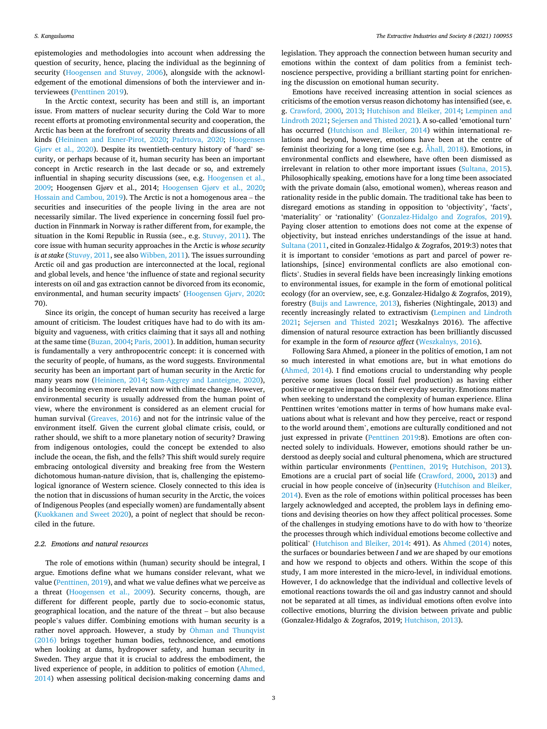epistemologies and methodologies into account when addressing the question of security, hence, placing the individual as the beginning of security (Hoogensen and Stuvøy, 2006), alongside with the acknowledgement of the emotional dimensions of both the interviewer and interviewees (Penttinen 2019).

In the Arctic context, security has been and still is, an important issue. From matters of nuclear security during the Cold War to more recent efforts at promoting environmental security and cooperation, the Arctic has been at the forefront of security threats and discussions of all kinds (Heininen and Exner-Pirot, 2020; Padrtova, 2020; Hoogensen Gjørv et al., 2020). Despite its twentieth-century history of 'hard' security, or perhaps because of it, human security has been an important concept in Arctic research in the last decade or so, and extremely influential in shaping security discussions (see, e.g. Hoogensen et al., 2009; Hoogensen Gjørv et al., 2014; Hoogensen Gjørv et al., 2020; Hossain and Cambou, 2019). The Arctic is not a homogenous area – the securities and insecurities of the people living in the area are not necessarily similar. The lived experience in concerning fossil fuel production in Finnmark in Norway is rather different from, for example, the situation in the Komi Republic in Russia (see., e.g. Stuvøy, 2011). The core issue with human security approaches in the Arctic is *whose security is at stake* (Stuvøy, 2011, see also Wibben, 2011). The issues surrounding Arctic oil and gas production are interconnected at the local, regional and global levels, and hence 'the influence of state and regional security interests on oil and gas extraction cannot be divorced from its economic, environmental, and human security impacts' (Hoogensen Gjørv, 2020: 70).

Since its origin, the concept of human security has received a large amount of criticism. The loudest critiques have had to do with its ambiguity and vagueness, with critics claiming that it says all and nothing at the same time (Buzan, 2004; Paris, 2001). In addition, human security is fundamentally a very anthropocentric concept: it is concerned with the security of people, of humans, as the word suggests. Environmental security has been an important part of human security in the Arctic for many years now (Heininen, 2014; Sam-Aggrey and Lanteigne, 2020), and is becoming even more relevant now with climate change. However, environmental security is usually addressed from the human point of view, where the environment is considered as an element crucial for human survival (Greaves, 2016) and not for the intrinsic value of the environment itself. Given the current global climate crisis, could, or rather should, we shift to a more planetary notion of security? Drawing from indigenous ontologies, could the concept be extended to also include the ocean, the fish, and the fells? This shift would surely require embracing ontological diversity and breaking free from the Western dichotomous human-nature division, that is, challenging the epistemological ignorance of Western science. Closely connected to this idea is the notion that in discussions of human security in the Arctic, the voices of Indigenous Peoples (and especially women) are fundamentally absent (Kuokkanen and Sweet 2020), a point of neglect that should be reconciled in the future.

#### *2.2. Emotions and natural resources*

The role of emotions within (human) security should be integral, I argue. Emotions define what we humans consider relevant, what we value (Penttinen, 2019), and what we value defines what we perceive as a threat (Hoogensen et al., 2009). Security concerns, though, are different for different people, partly due to socio-economic status, geographical location, and the nature of the threat – but also because people's values differ. Combining emotions with human security is a rather novel approach. However, a study by Öhman and Thunqvist (2016) brings together human bodies, technoscience, and emotions when looking at dams, hydropower safety, and human security in Sweden. They argue that it is crucial to address the embodiment, the lived experience of people, in addition to politics of emotion (Ahmed, 2014) when assessing political decision-making concerning dams and

legislation. They approach the connection between human security and emotions within the context of dam politics from a feminist technoscience perspective, providing a brilliant starting point for enrichening the discussion on emotional human security.

Emotions have received increasing attention in social sciences as criticisms of the emotion versus reason dichotomy has intensified (see, e. g. Crawford, 2000, 2013; Hutchison and Bleiker, 2014; Lempinen and Lindroth 2021; Sejersen and Thisted 2021). A so-called 'emotional turn' has occurred (Hutchison and Bleiker, 2014) within international relations and beyond, however, emotions have been at the centre of feminist theorizing for a long time (see e.g. Åhall, 2018). Emotions, in environmental conflicts and elsewhere, have often been dismissed as irrelevant in relation to other more important issues (Sultana, 2015). Philosophically speaking, emotions have for a long time been associated with the private domain (also, emotional women), whereas reason and rationality reside in the public domain. The traditional take has been to disregard emotions as standing in opposition to 'objectivity', 'facts', 'materiality' or 'rationality' (Gonzalez-Hidalgo and Zografos, 2019). Paying closer attention to emotions does not come at the expense of objectivity, but instead enriches understandings of the issue at hand. Sultana (2011, cited in Gonzalez-Hidalgo & Zografos, 2019:3) notes that it is important to consider 'emotions as part and parcel of power relationships, [since] environmental conflicts are also emotional conflicts'. Studies in several fields have been increasingly linking emotions to environmental issues, for example in the form of emotional political ecology (for an overview, see, e.g. Gonzalez-Hidalgo & Zografos, 2019), forestry (Buijs and Lawrence, 2013), fisheries (Nightingale, 2013) and recently increasingly related to extractivism (Lempinen and Lindroth 2021; Sejersen and Thisted 2021; Weszkalnys 2016). The affective dimension of natural resource extraction has been brilliantly discussed for example in the form of *resource affect* (Weszkalnys, 2016).

Following Sara Ahmed, a pioneer in the politics of emotion, I am not so much interested in what emotions are, but in what emotions do (Ahmed, 2014). I find emotions crucial to understanding why people perceive some issues (local fossil fuel production) as having either positive or negative impacts on their everyday security. Emotions matter when seeking to understand the complexity of human experience. Elina Penttinen writes 'emotions matter in terms of how humans make evaluations about what is relevant and how they perceive, react or respond to the world around them', emotions are culturally conditioned and not just expressed in private (Penttinen 2019:8). Emotions are often connected solely to individuals. However, emotions should rather be understood as deeply social and cultural phenomena, which are structured within particular environments (Penttinen, 2019; Hutchison, 2013). Emotions are a crucial part of social life (Crawford, 2000, 2013) and crucial in how people conceive of (in)security (Hutchison and Bleiker, 2014). Even as the role of emotions within political processes has been largely acknowledged and accepted, the problem lays in defining emotions and devising theories on how they affect political processes. Some of the challenges in studying emotions have to do with how to 'theorize the processes through which individual emotions become collective and political' (Hutchison and Bleiker, 2014: 491). As Ahmed (2014) notes, the surfaces or boundaries between *I* and *we* are shaped by our emotions and how we respond to objects and others. Within the scope of this study, I am more interested in the micro-level, in individual emotions. However, I do acknowledge that the individual and collective levels of emotional reactions towards the oil and gas industry cannot and should not be separated at all times, as individual emotions often evolve into collective emotions, blurring the division between private and public (Gonzalez-Hidalgo & Zografos, 2019; Hutchison, 2013).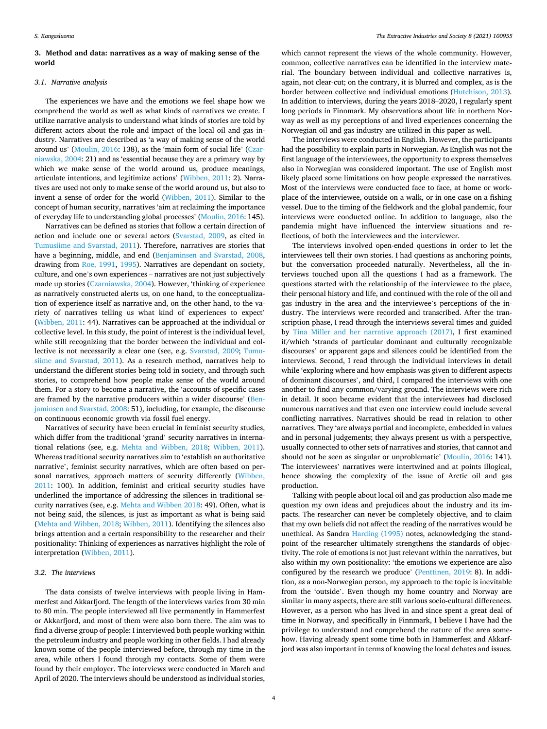#### **3. Method and data: narratives as a way of making sense of the world**

#### *3.1. Narrative analysis*

The experiences we have and the emotions we feel shape how we comprehend the world as well as what kinds of narratives we create. I utilize narrative analysis to understand what kinds of stories are told by different actors about the role and impact of the local oil and gas industry. Narratives are described as 'a way of making sense of the world around us' (Moulin, 2016: 138), as the 'main form of social life' (Czarniawska, 2004: 21) and as 'essential because they are a primary way by which we make sense of the world around us, produce meanings, articulate intentions, and legitimize actions' (Wibben, 2011: 2). Narratives are used not only to make sense of the world around us, but also to invent a sense of order for the world (Wibben, 2011). Similar to the concept of human security, narratives 'aim at reclaiming the importance of everyday life to understanding global processes' (Moulin, 2016: 145).

Narratives can be defined as stories that follow a certain direction of action and include one or several actors (Svarstad, 2009, as cited in Tumusiime and Svarstad, 2011). Therefore, narratives are stories that have a beginning, middle, and end (Benjaminsen and Svarstad, 2008, drawing from Roe, 1991, 1995). Narratives are dependant on society, culture, and one's own experiences – narratives are not just subjectively made up stories (Czarniawska, 2004). However, 'thinking of experience as narratively constructed alerts us, on one hand, to the conceptualization of experience itself as narrative and, on the other hand, to the variety of narratives telling us what kind of experiences to expect' (Wibben, 2011: 44). Narratives can be approached at the individual or collective level. In this study, the point of interest is the individual level, while still recognizing that the border between the individual and collective is not necessarily a clear one (see, e.g. Svarstad, 2009; Tumusiime and Svarstad, 2011). As a research method, narratives help to understand the different stories being told in society, and through such stories, to comprehend how people make sense of the world around them. For a story to become a narrative, the 'accounts of specific cases are framed by the narrative producers within a wider discourse' (Benjaminsen and Svarstad, 2008: 51), including, for example, the discourse on continuous economic growth via fossil fuel energy.

Narratives of security have been crucial in feminist security studies, which differ from the traditional 'grand' security narratives in international relations (see, e.g. Mehta and Wibben, 2018; Wibben, 2011). Whereas traditional security narratives aim to 'establish an authoritative narrative', feminist security narratives, which are often based on personal narratives, approach matters of security differently (Wibben, 2011: 100). In addition, feminist and critical security studies have underlined the importance of addressing the silences in traditional security narratives (see, e.g. Mehta and Wibben 2018: 49). Often, what is not being said, the silences, is just as important as what is being said (Mehta and Wibben, 2018; Wibben, 2011). Identifying the silences also brings attention and a certain responsibility to the researcher and their positionality: Thinking of experiences as narratives highlight the role of interpretation (Wibben, 2011).

#### *3.2. The interviews*

The data consists of twelve interviews with people living in Hammerfest and Akkarfjord. The length of the interviews varies from 30 min to 80 min. The people interviewed all live permanently in Hammerfest or Akkarfjord, and most of them were also born there. The aim was to find a diverse group of people: I interviewed both people working within the petroleum industry and people working in other fields. I had already known some of the people interviewed before, through my time in the area, while others I found through my contacts. Some of them were found by their employer. The interviews were conducted in March and April of 2020. The interviews should be understood as individual stories,

which cannot represent the views of the whole community. However, common, collective narratives can be identified in the interview material. The boundary between individual and collective narratives is, again, not clear-cut; on the contrary, it is blurred and complex, as is the border between collective and individual emotions (Hutchison, 2013). In addition to interviews, during the years 2018–2020, I regularly spent long periods in Finnmark. My observations about life in northern Norway as well as my perceptions of and lived experiences concerning the Norwegian oil and gas industry are utilized in this paper as well.

The interviews were conducted in English. However, the participants had the possibility to explain parts in Norwegian. As English was not the first language of the interviewees, the opportunity to express themselves also in Norwegian was considered important. The use of English most likely placed some limitations on how people expressed the narratives. Most of the interviews were conducted face to face, at home or workplace of the interviewee, outside on a walk, or in one case on a fishing vessel. Due to the timing of the fieldwork and the global pandemic, four interviews were conducted online. In addition to language, also the pandemia might have influenced the interview situations and reflections, of both the interviewees and the interviewer.

The interviews involved open-ended questions in order to let the interviewees tell their own stories. I had questions as anchoring points, but the conversation proceeded naturally. Nevertheless, all the interviews touched upon all the questions I had as a framework. The questions started with the relationship of the interviewee to the place, their personal history and life, and continued with the role of the oil and gas industry in the area and the interviewee's perceptions of the industry. The interviews were recorded and transcribed. After the transcription phase, I read through the interviews several times and guided by Tina Miller and her narrative approach (2017), I first examined if/which 'strands of particular dominant and culturally recognizable discourses' or apparent gaps and silences could be identified from the interviews. Second, I read through the individual interviews in detail while 'exploring where and how emphasis was given to different aspects of dominant discourses', and third, I compared the interviews with one another to find any common/varying ground. The interviews were rich in detail. It soon became evident that the interviewees had disclosed numerous narratives and that even one interview could include several conflicting narratives. Narratives should be read in relation to other narratives. They 'are always partial and incomplete, embedded in values and in personal judgements; they always present us with a perspective, usually connected to other sets of narratives and stories, that cannot and should not be seen as singular or unproblematic' (Moulin, 2016: 141). The interviewees' narratives were intertwined and at points illogical, hence showing the complexity of the issue of Arctic oil and gas production.

Talking with people about local oil and gas production also made me question my own ideas and prejudices about the industry and its impacts. The researcher can never be completely objective, and to claim that my own beliefs did not affect the reading of the narratives would be unethical. As Sandra Harding (1995) notes, acknowledging the standpoint of the researcher ultimately strengthens the standards of objectivity. The role of emotions is not just relevant within the narratives, but also within my own positionality: 'the emotions we experience are also configured by the research we produce' (Penttinen, 2019: 8). In addition, as a non-Norwegian person, my approach to the topic is inevitable from the 'outside'. Even though my home country and Norway are similar in many aspects, there are still various socio-cultural differences. However, as a person who has lived in and since spent a great deal of time in Norway, and specifically in Finnmark, I believe I have had the privilege to understand and comprehend the nature of the area somehow. Having already spent some time both in Hammerfest and Akkarfjord was also important in terms of knowing the local debates and issues.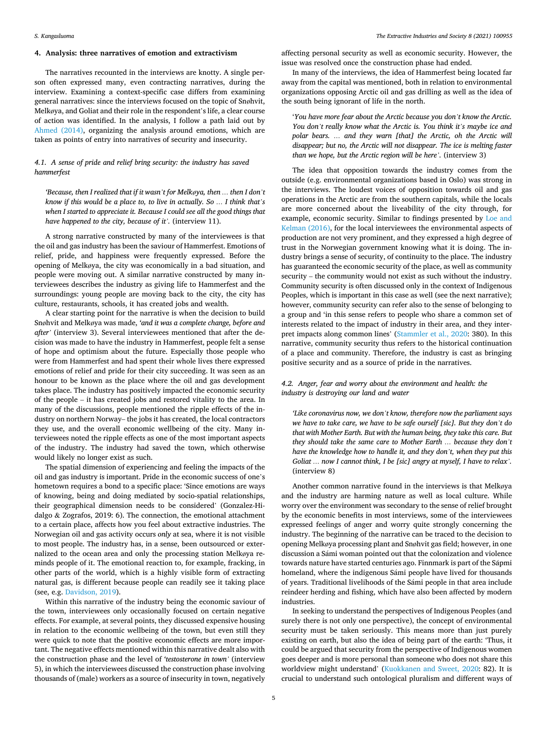#### **4. Analysis: three narratives of emotion and extractivism**

The narratives recounted in the interviews are knotty. A single person often expressed many, even contracting narratives, during the interview. Examining a context-specific case differs from examining general narratives: since the interviews focused on the topic of Snøhvit, Melkøya, and Goliat and their role in the respondent's life, a clear course of action was identified. In the analysis, I follow a path laid out by Ahmed (2014), organizing the analysis around emotions, which are taken as points of entry into narratives of security and insecurity.

#### *4.1. A sense of pride and relief bring security: the industry has saved hammerfest*

*'Because, then I realized that if it wasn't for Melkøya, then … then I don't know if this would be a place to, to live in actually. So … I think that's*  when I started to appreciate it. Because I could see all the good things that *have happened to the city, because of it'.* (interview 11).

A strong narrative constructed by many of the interviewees is that the oil and gas industry has been the saviour of Hammerfest. Emotions of relief, pride, and happiness were frequently expressed. Before the opening of Melkøya, the city was economically in a bad situation, and people were moving out. A similar narrative constructed by many interviewees describes the industry as giving life to Hammerfest and the surroundings: young people are moving back to the city, the city has culture, restaurants, schools, it has created jobs and wealth.

A clear starting point for the narrative is when the decision to build Snøhvit and Melkøya was made, *'and it was a complete change, before and after'* (interview 3). Several interviewees mentioned that after the decision was made to have the industry in Hammerfest, people felt a sense of hope and optimism about the future. Especially those people who were from Hammerfest and had spent their whole lives there expressed emotions of relief and pride for their city succeeding. It was seen as an honour to be known as the place where the oil and gas development takes place. The industry has positively impacted the economic security of the people – it has created jobs and restored vitality to the area. In many of the discussions, people mentioned the ripple effects of the industry on northern Norway– the jobs it has created, the local contractors they use, and the overall economic wellbeing of the city. Many interviewees noted the ripple effects as one of the most important aspects of the industry. The industry had saved the town, which otherwise would likely no longer exist as such.

The spatial dimension of experiencing and feeling the impacts of the oil and gas industry is important. Pride in the economic success of one's hometown requires a bond to a specific place: 'Since emotions are ways of knowing, being and doing mediated by socio-spatial relationships, their geographical dimension needs to be considered' (Gonzalez-Hidalgo & Zografos, 2019: 6). The connection, the emotional attachment to a certain place, affects how you feel about extractive industries. The Norwegian oil and gas activity occurs *only* at sea, where it is not visible to most people. The industry has, in a sense, been outsourced or externalized to the ocean area and only the processing station Melkøya reminds people of it. The emotional reaction to, for example, fracking, in other parts of the world, which is a highly visible form of extracting natural gas, is different because people can readily see it taking place (see, e.g. Davidson, 2019).

Within this narrative of the industry being the economic saviour of the town, interviewees only occasionally focused on certain negative effects. For example, at several points, they discussed expensive housing in relation to the economic wellbeing of the town, but even still they were quick to note that the positive economic effects are more important. The negative effects mentioned within this narrative dealt also with the construction phase and the level of *'testosterone in town'* (interview 5), in which the interviewees discussed the construction phase involving thousands of (male) workers as a source of insecurity in town, negatively

affecting personal security as well as economic security. However, the issue was resolved once the construction phase had ended.

In many of the interviews, the idea of Hammerfest being located far away from the capital was mentioned, both in relation to environmental organizations opposing Arctic oil and gas drilling as well as the idea of the south being ignorant of life in the north.

'*You have more fear about the Arctic because you don't know the Arctic. You don't really know what the Arctic is. You think it's maybe ice and polar bears. … and they warn [that] the Arctic, oh the Arctic will disappear; but no, the Arctic will not disappear. The ice is melting faster than we hope, but the Arctic region will be here'.* (interview 3)

The idea that opposition towards the industry comes from the outside (e.g. environmental organizations based in Oslo) was strong in the interviews. The loudest voices of opposition towards oil and gas operations in the Arctic are from the southern capitals, while the locals are more concerned about the liveability of the city through, for example, economic security. Similar to findings presented by Loe and Kelman (2016), for the local interviewees the environmental aspects of production are not very prominent, and they expressed a high degree of trust in the Norwegian government knowing what it is doing. The industry brings a sense of security, of continuity to the place. The industry has guaranteed the economic security of the place, as well as community security – the community would not exist as such without the industry. Community security is often discussed only in the context of Indigenous Peoples, which is important in this case as well (see the next narrative); however, community security can refer also to the sense of belonging to a group and 'in this sense refers to people who share a common set of interests related to the impact of industry in their area, and they interpret impacts along common lines' (Stammler et al., 2020: 380). In this narrative, community security thus refers to the historical continuation of a place and community. Therefore, the industry is cast as bringing positive security and as a source of pride in the narratives.

#### *4.2. Anger, fear and worry about the environment and health: the industry is destroying our land and water*

*'Like coronavirus now, we don't know, therefore now the parliament says we have to take care, we have to be safe ourself [sic]. But they don't do that with Mother Earth. But with the human being, they take this care. But they should take the same care to Mother Earth … because they don't have the knowledge how to handle it, and they don't, when they put this Goliat … now I cannot think, I be [sic] angry at myself, I have to relax'.*  (interview 8)

Another common narrative found in the interviews is that Melkøya and the industry are harming nature as well as local culture. While worry over the environment was secondary to the sense of relief brought by the economic benefits in most interviews, some of the interviewees expressed feelings of anger and worry quite strongly concerning the industry. The beginning of the narrative can be traced to the decision to opening Melkøya processing plant and Snøhvit gas field; however, in one discussion a Sámi woman pointed out that the colonization and violence towards nature have started centuries ago. Finnmark is part of the Sápmi homeland, where the indigenous Sámi people have lived for thousands of years. Traditional livelihoods of the Sámi people in that area include reindeer herding and fishing, which have also been affected by modern industries.

In seeking to understand the perspectives of Indigenous Peoples (and surely there is not only one perspective), the concept of environmental security must be taken seriously. This means more than just purely existing on earth, but also the idea of being part of the earth: 'Thus, it could be argued that security from the perspective of Indigenous women goes deeper and is more personal than someone who does not share this worldview might understand' (Kuokkanen and Sweet, 2020: 82). It is crucial to understand such ontological pluralism and different ways of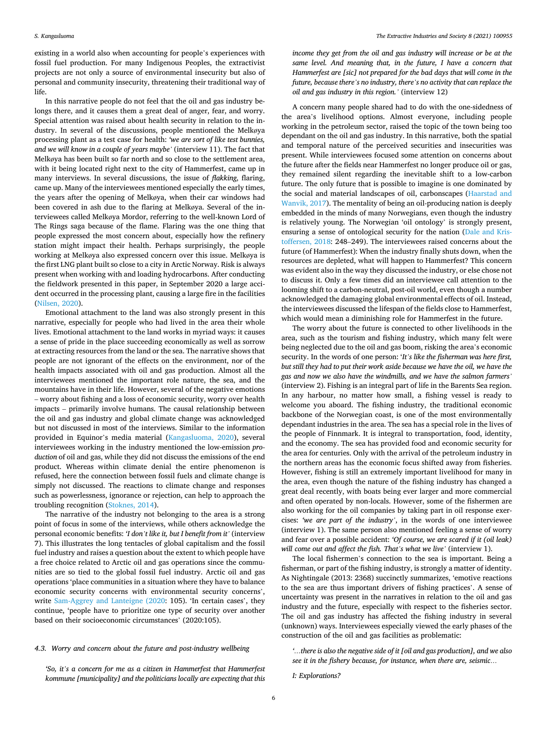#### *S. Kangasluoma*

existing in a world also when accounting for people's experiences with fossil fuel production. For many Indigenous Peoples, the extractivist projects are not only a source of environmental insecurity but also of personal and community insecurity, threatening their traditional way of life.

In this narrative people do not feel that the oil and gas industry belongs there, and it causes them a great deal of anger, fear, and worry. Special attention was raised about health security in relation to the industry. In several of the discussions, people mentioned the Melkøya processing plant as a test case for health: *'we are sort of like test bunnies, and we will know in a couple of years maybe'* (interview 11). The fact that Melkøya has been built so far north and so close to the settlement area, with it being located right next to the city of Hammerfest, came up in many interviews. In several discussions, the issue of *flakking*, flaring, came up. Many of the interviewees mentioned especially the early times, the years after the opening of Melkøya, when their car windows had been covered in ash due to the flaring at Melkøya. Several of the interviewees called Melkøya Mordor, referring to the well-known Lord of The Rings saga because of the flame. Flaring was the one thing that people expressed the most concern about, especially how the refinery station might impact their health. Perhaps surprisingly, the people working at Melkøya also expressed concern over this issue. Melkøya is the first LNG plant built so close to a city in Arctic Norway. Risk is always present when working with and loading hydrocarbons. After conducting the fieldwork presented in this paper, in September 2020 a large accident occurred in the processing plant, causing a large fire in the facilities (Nilsen, 2020).

Emotional attachment to the land was also strongly present in this narrative, especially for people who had lived in the area their whole lives. Emotional attachment to the land works in myriad ways: it causes a sense of pride in the place succeeding economically as well as sorrow at extracting resources from the land or the sea. The narrative shows that people are not ignorant of the effects on the environment, nor of the health impacts associated with oil and gas production. Almost all the interviewees mentioned the important role nature, the sea, and the mountains have in their life. However, several of the negative emotions – worry about fishing and a loss of economic security, worry over health impacts – primarily involve humans. The causal relationship between the oil and gas industry and global climate change was acknowledged but not discussed in most of the interviews. Similar to the information provided in Equinor's media material (Kangasluoma, 2020), several interviewees working in the industry mentioned the low-emission *production* of oil and gas, while they did not discuss the emissions of the end product. Whereas within climate denial the entire phenomenon is refused, here the connection between fossil fuels and climate change is simply not discussed. The reactions to climate change and responses such as powerlessness, ignorance or rejection, can help to approach the troubling recognition (Stoknes, 2014).

The narrative of the industry not belonging to the area is a strong point of focus in some of the interviews, while others acknowledge the personal economic benefits: *'I don't like it, but I benefit from it'* (interview 7). This illustrates the long tentacles of global capitalism and the fossil fuel industry and raises a question about the extent to which people have a free choice related to Arctic oil and gas operations since the communities are so tied to the global fossil fuel industry. Arctic oil and gas operations 'place communities in a situation where they have to balance economic security concerns with environmental security concerns', write Sam-Aggrey and Lanteigne (2020: 105). 'In certain cases', they continue, 'people have to prioritize one type of security over another based on their socioeconomic circumstances' (2020:105).

*'So, it's a concern for me as a citizen in Hammerfest that Hammerfest kommune [municipality] and the politicians locally are expecting that this* 

*income they get from the oil and gas industry will increase or be at the same level. And meaning that, in the future, I have a concern that Hammerfest are [sic] not prepared for the bad days that will come in the future, because there's no industry, there's no activity that can replace the oil and gas industry in this region.'* (interview 12)

A concern many people shared had to do with the one-sidedness of the area's livelihood options. Almost everyone, including people working in the petroleum sector, raised the topic of the town being too dependant on the oil and gas industry. In this narrative, both the spatial and temporal nature of the perceived securities and insecurities was present. While interviewees focused some attention on concerns about the future after the fields near Hammerfest no longer produce oil or gas, they remained silent regarding the inevitable shift to a low-carbon future. The only future that is possible to imagine is one dominated by the social and material landscapes of oil, carbonscapes (Haarstad and Wanvik, 2017). The mentality of being an oil-producing nation is deeply embedded in the minds of many Norwegians, even though the industry is relatively young. The Norwegian 'oil ontology' is strongly present, ensuring a sense of ontological security for the nation (Dale and Kristoffersen, 2018: 248–249). The interviewees raised concerns about the future (of Hammerfest): When the industry finally shuts down, when the resources are depleted, what will happen to Hammerfest? This concern was evident also in the way they discussed the industry, or else chose not to discuss it. Only a few times did an interviewee call attention to the looming shift to a carbon-neutral, post-oil world, even though a number acknowledged the damaging global environmental effects of oil. Instead, the interviewees discussed the lifespan of the fields close to Hammerfest, which would mean a diminishing role for Hammerfest in the future.

The worry about the future is connected to other livelihoods in the area, such as the tourism and fishing industry, which many felt were being neglected due to the oil and gas boom, risking the area's economic security. In the words of one person: '*It's like the fisherman was here first, but still they had to put their work aside because we have the oil, we have the gas and now we also have the windmills, and we have the salmon farmers'*  (interview 2). Fishing is an integral part of life in the Barents Sea region. In any harbour, no matter how small, a fishing vessel is ready to welcome you aboard. The fishing industry, the traditional economic backbone of the Norwegian coast, is one of the most environmentally dependant industries in the area. The sea has a special role in the lives of the people of Finnmark. It is integral to transportation, food, identity, and the economy. The sea has provided food and economic security for the area for centuries. Only with the arrival of the petroleum industry in the northern areas has the economic focus shifted away from fisheries. However, fishing is still an extremely important livelihood for many in the area, even though the nature of the fishing industry has changed a great deal recently, with boats being ever larger and more commercial and often operated by non-locals. However, some of the fishermen are also working for the oil companies by taking part in oil response exercises: *'we are part of the industry'*, in the words of one interviewee (interview 1). The same person also mentioned feeling a sense of worry and fear over a possible accident: *'Of course, we are scared if it (oil leak) will come out and affect the fish. That's what we live'* (interview 1).

The local fishermen's connection to the sea is important. Being a fisherman, or part of the fishing industry, is strongly a matter of identity. As Nightingale (2013: 2368) succinctly summarizes, 'emotive reactions to the sea are thus important drivers of fishing practices'. A sense of uncertainty was present in the narratives in relation to the oil and gas industry and the future, especially with respect to the fisheries sector. The oil and gas industry has affected the fishing industry in several (unknown) ways. Interviewees especially viewed the early phases of the construction of the oil and gas facilities as problematic:

*'…there is also the negative side of it [oil and gas production], and we also see it in the fishery because, for instance, when there are, seismic…* 

*I: Explorations?*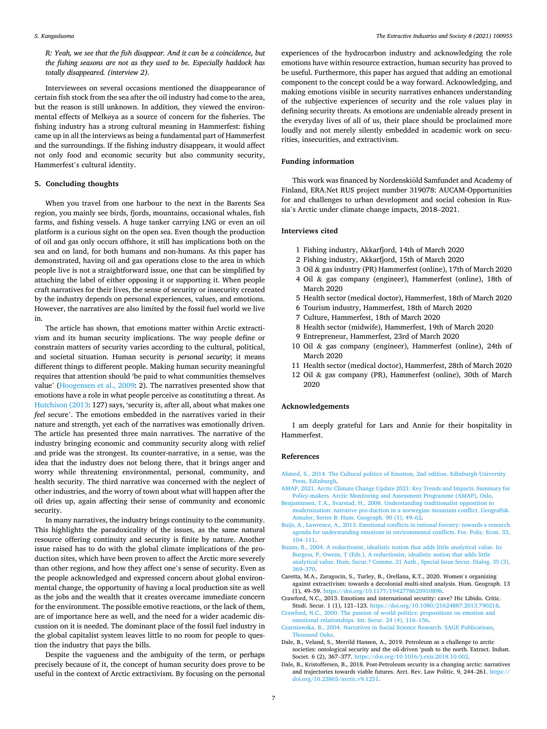#### *S. Kangasluoma*

*R: Yeah, we see that the fish disappear. And it can be a coincidence, but the fishing seasons are not as they used to be. Especially haddock has totally disappeared. (interview 2).* 

Interviewees on several occasions mentioned the disappearance of certain fish stock from the sea after the oil industry had come to the area, but the reason is still unknown. In addition, they viewed the environmental effects of Melkøya as a source of concern for the fisheries. The fishing industry has a strong cultural meaning in Hammerfest: fishing came up in all the interviews as being a fundamental part of Hammerfest and the surroundings. If the fishing industry disappears, it would affect not only food and economic security but also community security, Hammerfest's cultural identity.

#### **5. Concluding thoughts**

When you travel from one harbour to the next in the Barents Sea region, you mainly see birds, fjords, mountains, occasional whales, fish farms, and fishing vessels. A huge tanker carrying LNG or even an oil platform is a curious sight on the open sea. Even though the production of oil and gas only occurs offshore, it still has implications both on the sea and on land, for both humans and non-humans. As this paper has demonstrated, having oil and gas operations close to the area in which people live is not a straightforward issue, one that can be simplified by attaching the label of either opposing it or supporting it. When people craft narratives for their lives, the sense of security or insecurity created by the industry depends on personal experiences, values, and emotions. However, the narratives are also limited by the fossil fuel world we live in.

The article has shown, that emotions matter within Arctic extractivism and its human security implications. The way people define or constrain matters of security varies according to the cultural, political, and societal situation. Human security is *personal security*; it means different things to different people. Making human security meaningful requires that attention should 'be paid to what communities themselves value' (Hoogensen et al., 2009: 2). The narratives presented show that emotions have a role in what people perceive as constituting a threat. As Hutchison (2013: 127) says, 'security is, after all, about what makes one *feel* secure'. The emotions embedded in the narratives varied in their nature and strength, yet each of the narratives was emotionally driven. The article has presented three main narratives. The narrative of the industry bringing economic and community security along with relief and pride was the strongest. Its counter-narrative, in a sense, was the idea that the industry does not belong there, that it brings anger and worry while threatening environmental, personal, community, and health security. The third narrative was concerned with the neglect of other industries, and the worry of town about what will happen after the oil dries up, again affecting their sense of community and economic security.

In many narratives, the industry brings continuity to the community. This highlights the paradoxicality of the issues, as the same natural resource offering continuity and security is finite by nature. Another issue raised has to do with the global climate implications of the production sites, which have been proven to affect the Arctic more severely than other regions, and how they affect one's sense of security. Even as the people acknowledged and expressed concern about global environmental change, the opportunity of having a local production site as well as the jobs and the wealth that it creates overcame immediate concern for the environment. The possible emotive reactions, or the lack of them, are of importance here as well, and the need for a wider academic discussion on it is needed. The dominant place of the fossil fuel industry in the global capitalist system leaves little to no room for people to question the industry that pays the bills.

Despite the vagueness and the ambiguity of the term, or perhaps precisely because of it, the concept of human security does prove to be useful in the context of Arctic extractivism. By focusing on the personal experiences of the hydrocarbon industry and acknowledging the role emotions have within resource extraction, human security has proved to be useful. Furthermore, this paper has argued that adding an emotional component to the concept could be a way forward. Acknowledging, and making emotions visible in security narratives enhances understanding of the subjective experiences of security and the role values play in defining security threats. As emotions are undeniable already present in the everyday lives of all of us, their place should be proclaimed more loudly and not merely silently embedded in academic work on securities, insecurities, and extractivism.

#### **Funding information**

This work was financed by Nordenskiöld Samfundet and Academy of Finland, ERA.Net RUS project number 319078: AUCAM-Opportunities for and challenges to urban development and social cohesion in Russia's Arctic under climate change impacts, 2018–2021.

#### **Interviews cited**

- 1 Fishing industry, Akkarfjord, 14th of March 2020
- 2 Fishing industry, Akkarfjord, 15th of March 2020
- 3 Oil & gas industry (PR) Hammerfest (online), 17th of March 2020
- 4 Oil & gas company (engineer), Hammerfest (online), 18th of March 2020
- 5 Health sector (medical doctor), Hammerfest, 18th of March 2020
- 6 Tourism industry, Hammerfest, 18th of March 2020
- 7 Culture, Hammerfest, 18th of March 2020
- 8 Health sector (midwife), Hammerfest, 19th of March 2020
- 9 Entrepreneur, Hammerfest, 23rd of March 2020
- 10 Oil & gas company (engineer), Hammerfest (online), 24th of March 2020
- 11 Health sector (medical doctor), Hammerfest, 28th of March 2020
- 12 Oil & gas company (PR), Hammerfest (online), 30th of March 2020

#### **Acknowledgements**

I am deeply grateful for Lars and Annie for their hospitality in Hammerfest.

#### **References**

- [Ahmed, S., 2014. The Cultural politics of Emotion, 2nd edition. Edinburgh University](http://refhub.elsevier.com/S2214-790X(21)00117-9/sbref0001) [Press, Edinburgh](http://refhub.elsevier.com/S2214-790X(21)00117-9/sbref0001).
- [AMAP, 2021. Arctic Climate Change Update 2021: Key Trends and Impacts. Summary for](http://refhub.elsevier.com/S2214-790X(21)00117-9/sbref0002)  [Policy-makers. Arctic Monitoring and Assessment Programme \(AMAP\), Oslo](http://refhub.elsevier.com/S2214-790X(21)00117-9/sbref0002).
- [Benjaminsen, T.A., Svarstad, H., 2008. Understanding traditionalist opposition to](http://refhub.elsevier.com/S2214-790X(21)00117-9/sbref0003) [modernization: narrative pro-duction in a norwegian mountain conflict. Geografisk.](http://refhub.elsevier.com/S2214-790X(21)00117-9/sbref0003)  [Annaler, Series B: Hum. Geograph. 90 \(1\), 49](http://refhub.elsevier.com/S2214-790X(21)00117-9/sbref0003)–62.
- [Buijs, A., Lawrence, A., 2013. Emotional conflicts in rational forestry: towards a research](http://refhub.elsevier.com/S2214-790X(21)00117-9/sbref0004)  [agenda for understanding emotions in environmental conflicts. For. Polic. Econ. 33,](http://refhub.elsevier.com/S2214-790X(21)00117-9/sbref0004)  104–[111](http://refhub.elsevier.com/S2214-790X(21)00117-9/sbref0004).
- [Buzan, B., 2004. A reductionist, idealistic notion that adds little analytical value. In:](http://refhub.elsevier.com/S2214-790X(21)00117-9/sbref0005)  [Burgess, P, Owens, T \(Eds.\), A reductionist, idealistic notion that adds little](http://refhub.elsevier.com/S2214-790X(21)00117-9/sbref0005) [analytical value. Hum. Secur.? Comme. 21 Auth., Special Issue Secur. Dialog. 35 \(3\),](http://refhub.elsevier.com/S2214-790X(21)00117-9/sbref0005)  369–[370](http://refhub.elsevier.com/S2214-790X(21)00117-9/sbref0005).
- Caretta, M.A., Zaragocin, S., Turley, B., Orellana, K.T., 2020. Women's organizing against extractivism: towards a decolonial multi-sited analysis. Hum. Geograph. 13 (1), 49–59. [https://doi.org/10.1177/1942778620910898.](https://doi.org/10.1177/1942778620910898)
- Crawford, N.C., 2013. Emotions and international security: cave? Hic Libido. Critic. Studi. Secur. 1 (1), 121–123. <https://doi.org/10.1080/21624887.2013.790218>.
- [Crawford, N.C., 2000. The passion of world politics: propositions on emotion and](http://refhub.elsevier.com/S2214-790X(21)00117-9/sbref0008) [emotional relationships. Int. Secur. 24 \(4\), 116](http://refhub.elsevier.com/S2214-790X(21)00117-9/sbref0008)–156.
- [Czarniawska, B., 2004. Narratives in Social Science Research. SAGE Publications,](http://refhub.elsevier.com/S2214-790X(21)00117-9/sbref0009)  [Thousand Oaks](http://refhub.elsevier.com/S2214-790X(21)00117-9/sbref0009).
- Dale, B., Veland, S., Merrild Hansen, A., 2019. Petroleum as a challenge to arctic societies: ontological security and the oil-driven 'push to the north. Extract. Indust. Societ. 6 (2), 367–377. <https://doi.org/10.1016/j.exis.2018.10.002>.
- Dale, B., Kristoffersen, B., 2018. Post-Petroleum security in a changing arctic: narratives and trajectories towards viable futures. Arct. Rev. Law Politic. 9, 244–261. [https://](https://doi.org/10.23865/arctic.v9.1251)  [doi.org/10.23865/arctic.v9.1251](https://doi.org/10.23865/arctic.v9.1251).